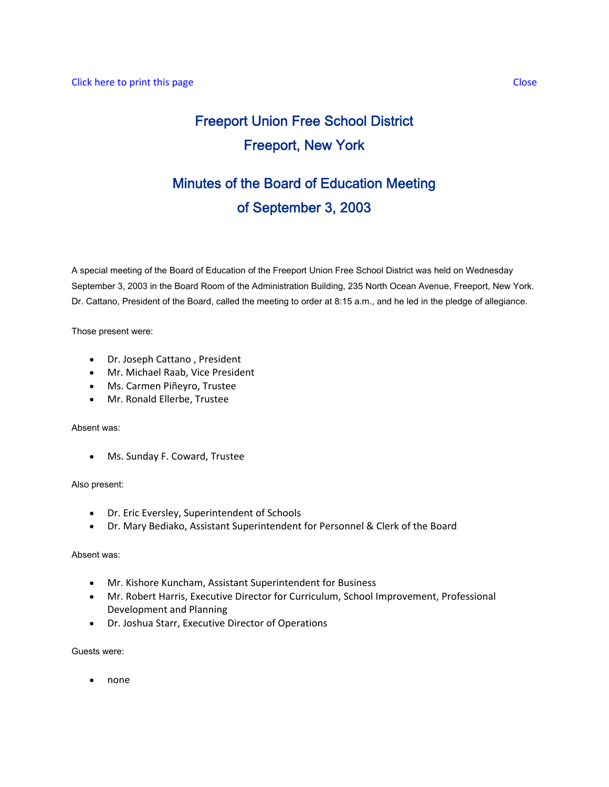# Freeport Union Free School District Freeport, New York

# Minutes of the Board of Education Meeting of September 3, 2003

A special meeting of the Board of Education of the Freeport Union Free School District was held on Wednesday September 3, 2003 in the Board Room of the Administration Building, 235 North Ocean Avenue, Freeport, New York. Dr. Cattano, President of the Board, called the meeting to order at 8:15 a.m., and he led in the pledge of allegiance.

Those present were:

- Dr. Joseph Cattano , President
- Mr. Michael Raab, Vice President
- Ms. Carmen Piñeyro, Trustee
- Mr. Ronald Ellerbe, Trustee

## Absent was:

• Ms. Sunday F. Coward, Trustee

## Also present:

- Dr. Eric Eversley, Superintendent of Schools
- Dr. Mary Bediako, Assistant Superintendent for Personnel & Clerk of the Board

# Absent was:

- Mr. Kishore Kuncham, Assistant Superintendent for Business
- Mr. Robert Harris, Executive Director for Curriculum, School Improvement, Professional Development and Planning
- Dr. Joshua Starr, Executive Director of Operations

Guests were:

• none